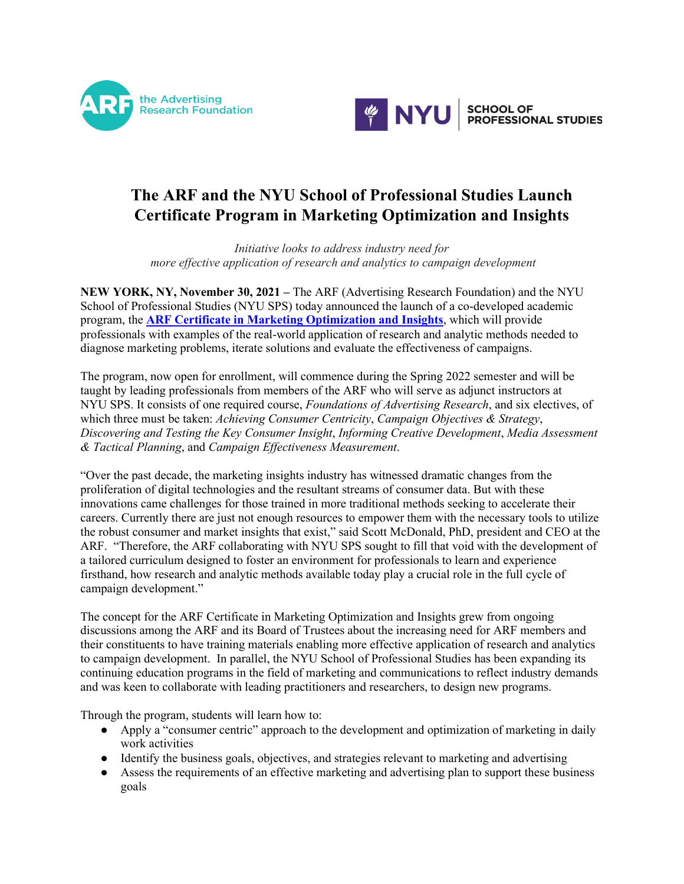



## **The ARF and the NYU School of Professional Studies Launch Certificate Program in Marketing Optimization and Insights**

*Initiative looks to address industry need for more effective application of research and analytics to campaign development*

**NEW YORK, NY, November 30, 2021 –** The ARF (Advertising Research Foundation) and the NYU School of Professional Studies (NYU SPS) today announced the launch of a co-developed academic program, the **[ARF Certificate in Marketing Optimization and Insights](https://www.sps.nyu.edu/professional-pathways/certificates/marketing-and-public-relations/nyu-arf-marketing-optimization-and-insights.html)**, which will provide professionals with examples of the real-world application of research and analytic methods needed to diagnose marketing problems, iterate solutions and evaluate the effectiveness of campaigns.

The program, now open for enrollment, will commence during the Spring 2022 semester and will be taught by leading professionals from members of the ARF who will serve as adjunct instructors at NYU SPS. It consists of one required course, *Foundations of Advertising Research*, and six electives, of which three must be taken: *Achieving Consumer Centricity*, *Campaign Objectives & Strategy*, *Discovering and Testing the Key Consumer Insight*, *Informing Creative Development*, *Media Assessment & Tactical Planning*, and *Campaign Effectiveness Measurement*.

"Over the past decade, the marketing insights industry has witnessed dramatic changes from the proliferation of digital technologies and the resultant streams of consumer data. But with these innovations came challenges for those trained in more traditional methods seeking to accelerate their careers. Currently there are just not enough resources to empower them with the necessary tools to utilize the robust consumer and market insights that exist," said Scott McDonald, PhD, president and CEO at the ARF. "Therefore, the ARF collaborating with NYU SPS sought to fill that void with the development of a tailored curriculum designed to foster an environment for professionals to learn and experience firsthand, how research and analytic methods available today play a crucial role in the full cycle of campaign development."

The concept for the ARF Certificate in Marketing Optimization and Insights grew from ongoing discussions among the ARF and its Board of Trustees about the increasing need for ARF members and their constituents to have training materials enabling more effective application of research and analytics to campaign development. In parallel, the NYU School of Professional Studies has been expanding its continuing education programs in the field of marketing and communications to reflect industry demands and was keen to collaborate with leading practitioners and researchers, to design new programs.

Through the program, students will learn how to:

- Apply a "consumer centric" approach to the development and optimization of marketing in daily work activities
- Identify the business goals, objectives, and strategies relevant to marketing and advertising
- Assess the requirements of an effective marketing and advertising plan to support these business goals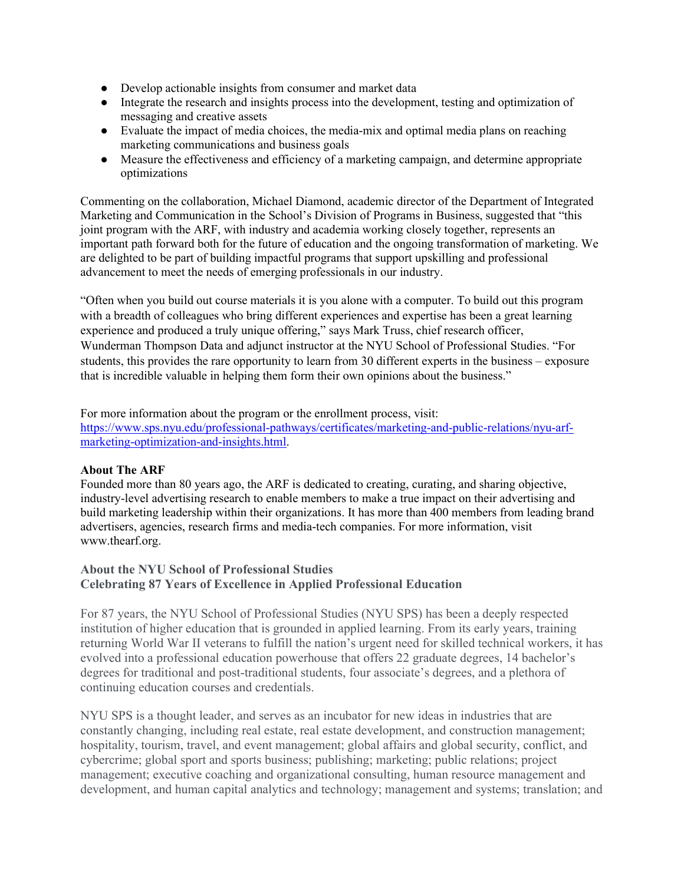- Develop actionable insights from consumer and market data
- Integrate the research and insights process into the development, testing and optimization of messaging and creative assets
- Evaluate the impact of media choices, the media-mix and optimal media plans on reaching marketing communications and business goals
- Measure the effectiveness and efficiency of a marketing campaign, and determine appropriate optimizations

Commenting on the collaboration, Michael Diamond, academic director of the Department of Integrated Marketing and Communication in the School's Division of Programs in Business, suggested that "this joint program with the ARF, with industry and academia working closely together, represents an important path forward both for the future of education and the ongoing transformation of marketing. We are delighted to be part of building impactful programs that support upskilling and professional advancement to meet the needs of emerging professionals in our industry.

"Often when you build out course materials it is you alone with a computer. To build out this program with a breadth of colleagues who bring different experiences and expertise has been a great learning experience and produced a truly unique offering," says Mark Truss, chief research officer, Wunderman Thompson Data and adjunct instructor at the NYU School of Professional Studies. "For students, this provides the rare opportunity to learn from 30 different experts in the business – exposure that is incredible valuable in helping them form their own opinions about the business."

For more information about the program or the enrollment process, visit: [https://www.sps.nyu.edu/professional-pathways/certificates/marketing-and-public-relations/nyu-arf](https://www.sps.nyu.edu/professional-pathways/certificates/marketing-and-public-relations/nyu-arf-marketing-optimization-and-insights.html)[marketing-optimization-and-insights.html.](https://www.sps.nyu.edu/professional-pathways/certificates/marketing-and-public-relations/nyu-arf-marketing-optimization-and-insights.html)

## **About The ARF**

Founded more than 80 years ago, the ARF is dedicated to creating, curating, and sharing objective, industry-level advertising research to enable members to make a true impact on their advertising and build marketing leadership within their organizations. It has more than 400 members from leading brand advertisers, agencies, research firms and media-tech companies. For more information, visit www.thearf.org.

## **About the NYU School of Professional Studies Celebrating 87 Years of Excellence in Applied Professional Education**

For 87 years, the NYU School of Professional Studies (NYU SPS) has been a deeply respected institution of higher education that is grounded in applied learning. From its early years, training returning World War II veterans to fulfill the nation's urgent need for skilled technical workers, it has evolved into a professional education powerhouse that offers 22 graduate degrees, 14 bachelor's degrees for traditional and post-traditional students, four associate's degrees, and a plethora of continuing education courses and credentials.

NYU SPS is a thought leader, and serves as an incubator for new ideas in industries that are constantly changing, including real estate, real estate development, and construction management; hospitality, tourism, travel, and event management; global affairs and global security, conflict, and cybercrime; global sport and sports business; publishing; marketing; public relations; project management; executive coaching and organizational consulting, human resource management and development, and human capital analytics and technology; management and systems; translation; and